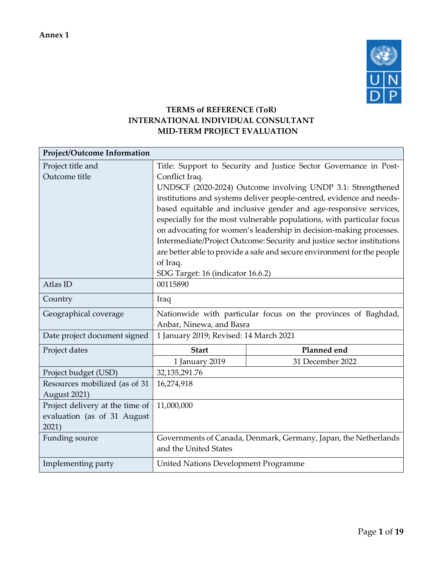

## **TERMS of REFERENCE (ToR) INTERNATIONAL INDIVIDUAL CONSULTANT MID-TERM PROJECT EVALUATION**

| Project/Outcome Information     |                                                                         |                                                                        |  |  |  |
|---------------------------------|-------------------------------------------------------------------------|------------------------------------------------------------------------|--|--|--|
| Project title and               |                                                                         | Title: Support to Security and Justice Sector Governance in Post-      |  |  |  |
| Outcome title                   | Conflict Iraq.                                                          |                                                                        |  |  |  |
|                                 | UNDSCF (2020-2024) Outcome involving UNDP 3.1: Strengthened             |                                                                        |  |  |  |
|                                 |                                                                         | institutions and systems deliver people-centred, evidence and needs-   |  |  |  |
|                                 |                                                                         | based equitable and inclusive gender and age-responsive services,      |  |  |  |
|                                 |                                                                         | especially for the most vulnerable populations, with particular focus  |  |  |  |
|                                 |                                                                         | on advocating for women's leadership in decision-making processes.     |  |  |  |
|                                 |                                                                         | Intermediate/Project Outcome: Security and justice sector institutions |  |  |  |
|                                 | are better able to provide a safe and secure environment for the people |                                                                        |  |  |  |
|                                 | of Iraq.                                                                |                                                                        |  |  |  |
|                                 | SDG Target: 16 (indicator 16.6.2)                                       |                                                                        |  |  |  |
| Atlas ID                        | 00115890                                                                |                                                                        |  |  |  |
| Country                         | Iraq                                                                    |                                                                        |  |  |  |
| Geographical coverage           | Nationwide with particular focus on the provinces of Baghdad,           |                                                                        |  |  |  |
|                                 | Anbar, Ninewa, and Basra                                                |                                                                        |  |  |  |
| Date project document signed    | 1 January 2019; Revised: 14 March 2021                                  |                                                                        |  |  |  |
| Project dates                   | <b>Start</b>                                                            | Planned end                                                            |  |  |  |
|                                 | 1 January 2019                                                          | 31 December 2022                                                       |  |  |  |
| Project budget (USD)            | 32,135,291.76                                                           |                                                                        |  |  |  |
| Resources mobilized (as of 31   | 16,274,918                                                              |                                                                        |  |  |  |
| August 2021)                    |                                                                         |                                                                        |  |  |  |
| Project delivery at the time of | 11,000,000                                                              |                                                                        |  |  |  |
| evaluation (as of 31 August     |                                                                         |                                                                        |  |  |  |
| 2021)                           |                                                                         |                                                                        |  |  |  |
| Funding source                  | Governments of Canada, Denmark, Germany, Japan, the Netherlands         |                                                                        |  |  |  |
|                                 | and the United States                                                   |                                                                        |  |  |  |
| Implementing party              | United Nations Development Programme                                    |                                                                        |  |  |  |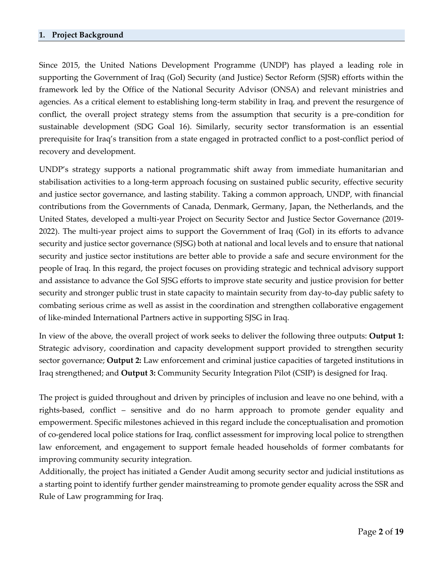Since 2015, the United Nations Development Programme (UNDP) has played a leading role in supporting the Government of Iraq (GoI) Security (and Justice) Sector Reform (SJSR) efforts within the framework led by the Office of the National Security Advisor (ONSA) and relevant ministries and agencies. As a critical element to establishing long-term stability in Iraq, and prevent the resurgence of conflict, the overall project strategy stems from the assumption that security is a pre-condition for sustainable development (SDG Goal 16). Similarly, security sector transformation is an essential prerequisite for Iraq's transition from a state engaged in protracted conflict to a post-conflict period of recovery and development.

UNDP's strategy supports a national programmatic shift away from immediate humanitarian and stabilisation activities to a long-term approach focusing on sustained public security, effective security and justice sector governance, and lasting stability. Taking a common approach, UNDP, with financial contributions from the Governments of Canada, Denmark, Germany, Japan, the Netherlands, and the United States, developed a multi-year Project on Security Sector and Justice Sector Governance (2019- 2022). The multi-year project aims to support the Government of Iraq (GoI) in its efforts to advance security and justice sector governance (SJSG) both at national and local levels and to ensure that national security and justice sector institutions are better able to provide a safe and secure environment for the people of Iraq. In this regard, the project focuses on providing strategic and technical advisory support and assistance to advance the GoI SJSG efforts to improve state security and justice provision for better security and stronger public trust in state capacity to maintain security from day-to-day public safety to combating serious crime as well as assist in the coordination and strengthen collaborative engagement of like-minded International Partners active in supporting SJSG in Iraq.

In view of the above, the overall project of work seeks to deliver the following three outputs: **Output 1:** Strategic advisory, coordination and capacity development support provided to strengthen security sector governance; **Output 2:** Law enforcement and criminal justice capacities of targeted institutions in Iraq strengthened; and **Output 3:** Community Security Integration Pilot (CSIP) is designed for Iraq.

The project is guided throughout and driven by principles of inclusion and leave no one behind, with a rights-based, conflict – sensitive and do no harm approach to promote gender equality and empowerment. Specific milestones achieved in this regard include the conceptualisation and promotion of co-gendered local police stations for Iraq, conflict assessment for improving local police to strengthen law enforcement, and engagement to support female headed households of former combatants for improving community security integration.

Additionally, the project has initiated a Gender Audit among security sector and judicial institutions as a starting point to identify further gender mainstreaming to promote gender equality across the SSR and Rule of Law programming for Iraq.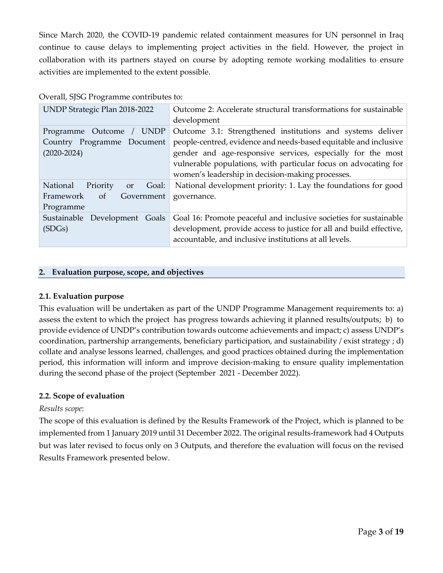Since March 2020, the COVID-19 pandemic related containment measures for UN personnel in Iraq continue to cause delays to implementing project activities in the field. However, the project in collaboration with its partners stayed on course by adopting remote working modalities to ensure activities are implemented to the extent possible.

| Overall, SJSG Programme contributes to: |  |
|-----------------------------------------|--|
|-----------------------------------------|--|

| UNDP Strategic Plan 2018-2022              | Outcome 2: Accelerate structural transformations for sustainable    |  |  |
|--------------------------------------------|---------------------------------------------------------------------|--|--|
|                                            | development                                                         |  |  |
| <b>UNDP</b><br>Outcome<br>Programme        | Outcome 3.1: Strengthened institutions and systems deliver          |  |  |
| Country Programme Document                 | people-centred, evidence and needs-based equitable and inclusive    |  |  |
| $(2020 - 2024)$                            | gender and age-responsive services, especially for the most         |  |  |
|                                            | vulnerable populations, with particular focus on advocating for     |  |  |
|                                            | women's leadership in decision-making processes.                    |  |  |
| National<br>Goal:<br>Priority<br><b>or</b> | National development priority: 1. Lay the foundations for good      |  |  |
| Framework<br>Government<br>of              | governance.                                                         |  |  |
| Programme                                  |                                                                     |  |  |
| Sustainable Development Goals              | Goal 16: Promote peaceful and inclusive societies for sustainable   |  |  |
| (SDGs)                                     | development, provide access to justice for all and build effective, |  |  |
|                                            | accountable, and inclusive institutions at all levels.              |  |  |

#### **2. Evaluation purpose, scope, and objectives**

#### **2.1. Evaluation purpose**

This evaluation will be undertaken as part of the UNDP Programme Management requirements to: a) assess the extent to which the project has progress towards achieving it planned results/outputs; b) to provide evidence of UNDP's contribution towards outcome achievements and impact; c) assess UNDP's coordination, partnership arrangements, beneficiary participation, and sustainability / exist strategy ; d) collate and analyse lessons learned, challenges, and good practices obtained during the implementation period, this information will inform and improve decision-making to ensure quality implementation during the second phase of the project (September 2021 - December 2022).

#### **2.2. Scope of evaluation**

#### *Results scope*:

The scope of this evaluation is defined by the Results Framework of the Project, which is planned to be implemented from 1 January 2019 until 31 December 2022. The original results-framework had 4 Outputs but was later revised to focus only on 3 Outputs, and therefore the evaluation will focus on the revised Results Framework presented below.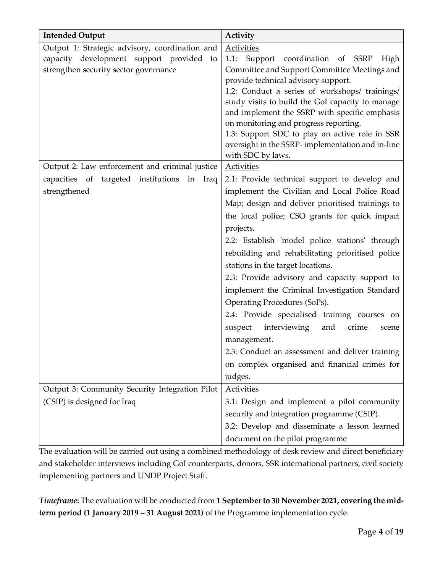| <b>Intended Output</b>                                                                                                              | Activity                                                                                                                                                                                                                                                                                                                                                                                                                                                                             |  |  |  |
|-------------------------------------------------------------------------------------------------------------------------------------|--------------------------------------------------------------------------------------------------------------------------------------------------------------------------------------------------------------------------------------------------------------------------------------------------------------------------------------------------------------------------------------------------------------------------------------------------------------------------------------|--|--|--|
| Output 1: Strategic advisory, coordination and<br>capacity development support provided to<br>strengthen security sector governance | <b>Activities</b><br>Support coordination of SSRP<br>1.1:<br>High<br>Committee and Support Committee Meetings and<br>provide technical advisory support.<br>1.2: Conduct a series of workshops/ trainings/<br>study visits to build the GoI capacity to manage<br>and implement the SSRP with specific emphasis<br>on monitoring and progress reporting.<br>1.3: Support SDC to play an active role in SSR<br>oversight in the SSRP- implementation and in-line<br>with SDC by laws. |  |  |  |
| Output 2: Law enforcement and criminal justice                                                                                      | <b>Activities</b>                                                                                                                                                                                                                                                                                                                                                                                                                                                                    |  |  |  |
| capacities of targeted institutions in Iraq                                                                                         | 2.1: Provide technical support to develop and                                                                                                                                                                                                                                                                                                                                                                                                                                        |  |  |  |
| strengthened                                                                                                                        | implement the Civilian and Local Police Road                                                                                                                                                                                                                                                                                                                                                                                                                                         |  |  |  |
|                                                                                                                                     | Map; design and deliver prioritised trainings to                                                                                                                                                                                                                                                                                                                                                                                                                                     |  |  |  |
|                                                                                                                                     | the local police; CSO grants for quick impact                                                                                                                                                                                                                                                                                                                                                                                                                                        |  |  |  |
|                                                                                                                                     | projects.                                                                                                                                                                                                                                                                                                                                                                                                                                                                            |  |  |  |
|                                                                                                                                     | 2.2: Establish 'model police stations' through<br>rebuilding and rehabilitating prioritised police<br>stations in the target locations.                                                                                                                                                                                                                                                                                                                                              |  |  |  |
|                                                                                                                                     | 2.3: Provide advisory and capacity support to                                                                                                                                                                                                                                                                                                                                                                                                                                        |  |  |  |
|                                                                                                                                     | implement the Criminal Investigation Standard                                                                                                                                                                                                                                                                                                                                                                                                                                        |  |  |  |
|                                                                                                                                     | Operating Procedures (SoPs).                                                                                                                                                                                                                                                                                                                                                                                                                                                         |  |  |  |
|                                                                                                                                     | 2.4: Provide specialised training courses on                                                                                                                                                                                                                                                                                                                                                                                                                                         |  |  |  |
|                                                                                                                                     | interviewing<br>and<br>suspect<br>crime<br>scene                                                                                                                                                                                                                                                                                                                                                                                                                                     |  |  |  |
|                                                                                                                                     | management.                                                                                                                                                                                                                                                                                                                                                                                                                                                                          |  |  |  |
|                                                                                                                                     | 2.5: Conduct an assessment and deliver training                                                                                                                                                                                                                                                                                                                                                                                                                                      |  |  |  |
|                                                                                                                                     | on complex organised and financial crimes for                                                                                                                                                                                                                                                                                                                                                                                                                                        |  |  |  |
|                                                                                                                                     | judges.                                                                                                                                                                                                                                                                                                                                                                                                                                                                              |  |  |  |
| Output 3: Community Security Integration Pilot                                                                                      | <b>Activities</b>                                                                                                                                                                                                                                                                                                                                                                                                                                                                    |  |  |  |
| (CSIP) is designed for Iraq                                                                                                         | 3.1: Design and implement a pilot community                                                                                                                                                                                                                                                                                                                                                                                                                                          |  |  |  |
|                                                                                                                                     | security and integration programme (CSIP).                                                                                                                                                                                                                                                                                                                                                                                                                                           |  |  |  |
|                                                                                                                                     | 3.2: Develop and disseminate a lesson learned                                                                                                                                                                                                                                                                                                                                                                                                                                        |  |  |  |
|                                                                                                                                     | document on the pilot programme                                                                                                                                                                                                                                                                                                                                                                                                                                                      |  |  |  |

The evaluation will be carried out using a combined methodology of desk review and direct beneficiary and stakeholder interviews including GoI counterparts, donors, SSR international partners, civil society implementing partners and UNDP Project Staff.

*Timeframe***:** The evaluation will be conducted from **1 September to 30 November 2021, covering the midterm period (1 January 2019 – 31 August 2021)** of the Programme implementation cycle.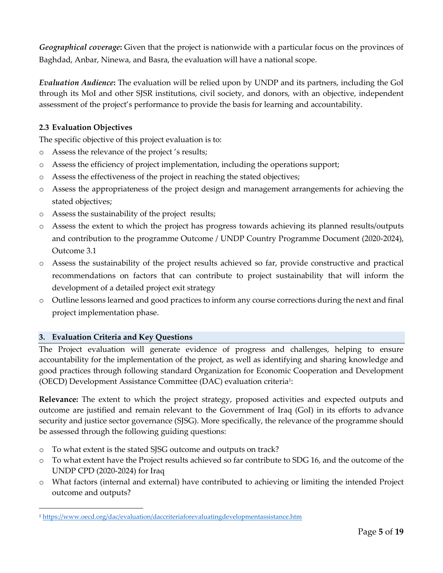*Geographical coverage***:** Given that the project is nationwide with a particular focus on the provinces of Baghdad, Anbar, Ninewa, and Basra, the evaluation will have a national scope.

*Evaluation Audience***:** The evaluation will be relied upon by UNDP and its partners, including the GoI through its MoI and other SJSR institutions, civil society, and donors, with an objective, independent assessment of the project's performance to provide the basis for learning and accountability.

## **2.3 Evaluation Objectives**

The specific objective of this project evaluation is to:

- o Assess the relevance of the project 's results;
- o Assess the efficiency of project implementation, including the operations support;
- o Assess the effectiveness of the project in reaching the stated objectives;
- o Assess the appropriateness of the project design and management arrangements for achieving the stated objectives;
- o Assess the sustainability of the project results;
- o Assess the extent to which the project has progress towards achieving its planned results/outputs and contribution to the programme Outcome / UNDP Country Programme Document (2020-2024), Outcome 3.1
- o Assess the sustainability of the project results achieved so far, provide constructive and practical recommendations on factors that can contribute to project sustainability that will inform the development of a detailed project exit strategy
- o Outline lessons learned and good practices to inform any course corrections during the next and final project implementation phase.

## **3. Evaluation Criteria and Key Questions**

The Project evaluation will generate evidence of progress and challenges, helping to ensure accountability for the implementation of the project, as well as identifying and sharing knowledge and good practices through following standard Organization for Economic Cooperation and Development (OECD) Development Assistance Committee (DAC) evaluation criteria<sup>1</sup>:

**Relevance:** The extent to which the project strategy, proposed activities and expected outputs and outcome are justified and remain relevant to the Government of Iraq (GoI) in its efforts to advance security and justice sector governance (SJSG). More specifically, the relevance of the programme should be assessed through the following guiding questions:

- o To what extent is the stated SJSG outcome and outputs on track?
- o To what extent have the Project results achieved so far contribute to SDG 16, and the outcome of the UNDP CPD (2020-2024) for Iraq
- o What factors (internal and external) have contributed to achieving or limiting the intended Project outcome and outputs?

<sup>1</sup> <https://www.oecd.org/dac/evaluation/daccriteriaforevaluatingdevelopmentassistance.htm>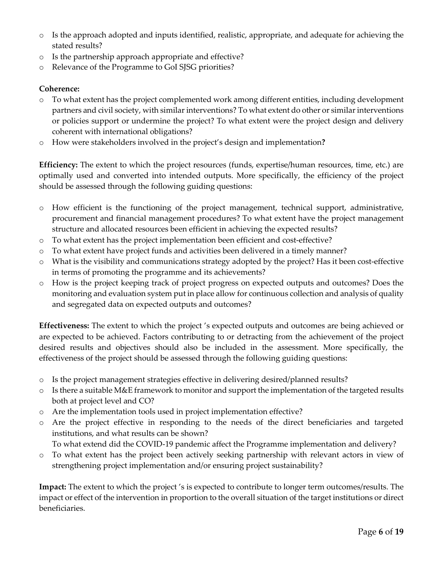- o Is the approach adopted and inputs identified, realistic, appropriate, and adequate for achieving the stated results?
- o Is the partnership approach appropriate and effective?
- o Relevance of the Programme to GoI SJSG priorities?

#### **Coherence:**

- o To what extent has the project complemented work among different entities, including development partners and civil society, with similar interventions? To what extent do other or similar interventions or policies support or undermine the project? To what extent were the project design and delivery coherent with international obligations?
- o How were stakeholders involved in the project's design and implementation**?**

**Efficiency:** The extent to which the project resources (funds, expertise/human resources, time, etc.) are optimally used and converted into intended outputs. More specifically, the efficiency of the project should be assessed through the following guiding questions:

- o How efficient is the functioning of the project management, technical support, administrative, procurement and financial management procedures? To what extent have the project management structure and allocated resources been efficient in achieving the expected results?
- o To what extent has the project implementation been efficient and cost-effective?
- o To what extent have project funds and activities been delivered in a timely manner?
- o What is the visibility and communications strategy adopted by the project? Has it been cost-effective in terms of promoting the programme and its achievements?
- o How is the project keeping track of project progress on expected outputs and outcomes? Does the monitoring and evaluation system put in place allow for continuous collection and analysis of quality and segregated data on expected outputs and outcomes?

**Effectiveness:** The extent to which the project 's expected outputs and outcomes are being achieved or are expected to be achieved. Factors contributing to or detracting from the achievement of the project desired results and objectives should also be included in the assessment. More specifically, the effectiveness of the project should be assessed through the following guiding questions:

- o Is the project management strategies effective in delivering desired/planned results?
- $\circ$  Is there a suitable M&E framework to monitor and support the implementation of the targeted results both at project level and CO?
- o Are the implementation tools used in project implementation effective?
- o Are the project effective in responding to the needs of the direct beneficiaries and targeted institutions, and what results can be shown?
	- To what extend did the COVID-19 pandemic affect the Programme implementation and delivery?
- o To what extent has the project been actively seeking partnership with relevant actors in view of strengthening project implementation and/or ensuring project sustainability?

**Impact:** The extent to which the project 's is expected to contribute to longer term outcomes/results. The impact or effect of the intervention in proportion to the overall situation of the target institutions or direct beneficiaries.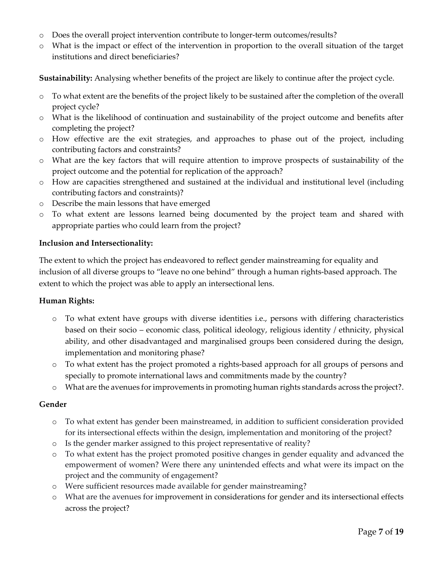- o Does the overall project intervention contribute to longer-term outcomes/results?
- o What is the impact or effect of the intervention in proportion to the overall situation of the target institutions and direct beneficiaries?

**Sustainability:** Analysing whether benefits of the project are likely to continue after the project cycle.

- o To what extent are the benefits of the project likely to be sustained after the completion of the overall project cycle?
- o What is the likelihood of continuation and sustainability of the project outcome and benefits after completing the project?
- o How effective are the exit strategies, and approaches to phase out of the project, including contributing factors and constraints?
- o What are the key factors that will require attention to improve prospects of sustainability of the project outcome and the potential for replication of the approach?
- o How are capacities strengthened and sustained at the individual and institutional level (including contributing factors and constraints)?
- o Describe the main lessons that have emerged
- o To what extent are lessons learned being documented by the project team and shared with appropriate parties who could learn from the project?

#### **Inclusion and Intersectionality:**

The extent to which the project has endeavored to reflect gender mainstreaming for equality and inclusion of all diverse groups to "leave no one behind" through a human rights-based approach. The extent to which the project was able to apply an intersectional lens.

#### **Human Rights:**

- o To what extent have groups with diverse identities i.e., persons with differing characteristics based on their socio – economic class, political ideology, religious identity / ethnicity, physical ability, and other disadvantaged and marginalised groups been considered during the design, implementation and monitoring phase?
- o To what extent has the project promoted a rights-based approach for all groups of persons and specially to promote international laws and commitments made by the country?
- o What are the avenues for improvements in promoting human rights standards across the project?.

#### **Gender**

- o To what extent has gender been mainstreamed, in addition to sufficient consideration provided for its intersectional effects within the design, implementation and monitoring of the project?
- o Is the gender marker assigned to this project representative of reality?
- o To what extent has the project promoted positive changes in gender equality and advanced the empowerment of women? Were there any unintended effects and what were its impact on the project and the community of engagement?
- o Were sufficient resources made available for gender mainstreaming?
- o What are the avenues for improvement in considerations for gender and its intersectional effects across the project?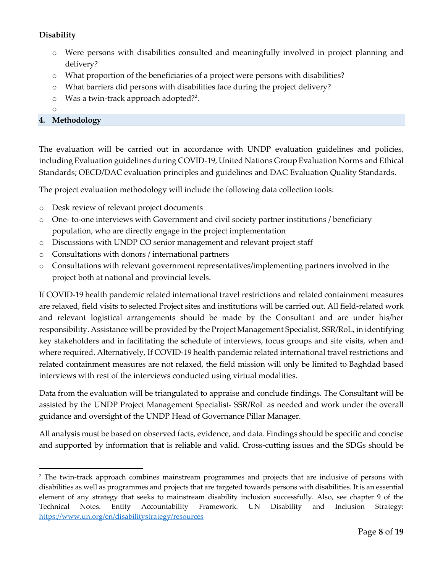## **Disability**

- Were persons with disabilities consulted and meaningfully involved in project planning and delivery?
- o What proportion of the beneficiaries of a project were persons with disabilities?
- o What barriers did persons with disabilities face during the project delivery?
- o Was a twin-track approach adopted?<sup>2</sup>.
- o

## **4. Methodology**

The evaluation will be carried out in accordance with UNDP evaluation guidelines and policies, including Evaluation guidelines during COVID-19, United Nations Group Evaluation Norms and Ethical Standards; OECD/DAC evaluation principles and guidelines and DAC Evaluation Quality Standards.

The project evaluation methodology will include the following data collection tools:

- o Desk review of relevant project documents
- o One- to-one interviews with Government and civil society partner institutions / beneficiary population, who are directly engage in the project implementation
- o Discussions with UNDP CO senior management and relevant project staff
- o Consultations with donors / international partners
- o Consultations with relevant government representatives/implementing partners involved in the project both at national and provincial levels.

If COVID-19 health pandemic related international travel restrictions and related containment measures are relaxed, field visits to selected Project sites and institutions will be carried out. All field-related work and relevant logistical arrangements should be made by the Consultant and are under his/her responsibility. Assistance will be provided by the Project Management Specialist, SSR/RoL, in identifying key stakeholders and in facilitating the schedule of interviews, focus groups and site visits, when and where required. Alternatively, If COVID-19 health pandemic related international travel restrictions and related containment measures are not relaxed, the field mission will only be limited to Baghdad based interviews with rest of the interviews conducted using virtual modalities.

Data from the evaluation will be triangulated to appraise and conclude findings. The Consultant will be assisted by the UNDP Project Management Specialist- SSR/RoL as needed and work under the overall guidance and oversight of the UNDP Head of Governance Pillar Manager.

All analysis must be based on observed facts, evidence, and data. Findings should be specific and concise and supported by information that is reliable and valid. Cross-cutting issues and the SDGs should be

<sup>&</sup>lt;sup>2</sup> The twin-track approach combines mainstream programmes and projects that are inclusive of persons with disabilities as well as programmes and projects that are targeted towards persons with disabilities. It is an essential element of any strategy that seeks to mainstream disability inclusion successfully. Also, see chapter 9 of the Technical Notes. Entity Accountability Framework. UN Disability and Inclusion Strategy: <https://www.un.org/en/disabilitystrategy/resources>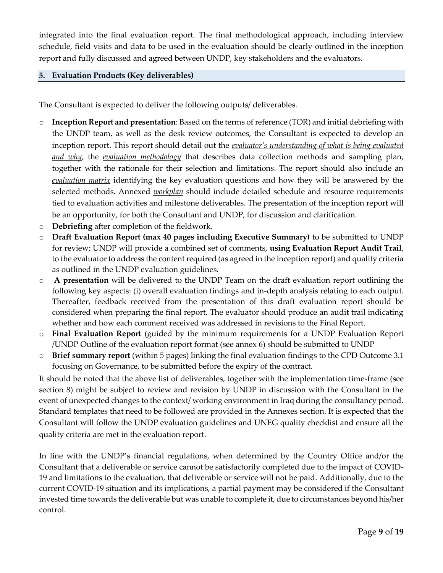integrated into the final evaluation report. The final methodological approach, including interview schedule, field visits and data to be used in the evaluation should be clearly outlined in the inception report and fully discussed and agreed between UNDP, key stakeholders and the evaluators.

#### **5. Evaluation Products (Key deliverables)**

The Consultant is expected to deliver the following outputs/ deliverables.

- o **Inception Report and presentation**: Based on the terms of reference (TOR) and initial debriefing with the UNDP team, as well as the desk review outcomes, the Consultant is expected to develop an inception report. This report should detail out the *evaluator's understanding of what is being evaluated and why*, the *evaluation methodology* that describes data collection methods and sampling plan, together with the rationale for their selection and limitations. The report should also include an *evaluation matrix* identifying the key evaluation questions and how they will be answered by the selected methods. Annexed *workplan* should include detailed schedule and resource requirements tied to evaluation activities and milestone deliverables. The presentation of the inception report will be an opportunity, for both the Consultant and UNDP, for discussion and clarification.
- o **Debriefing** after completion of the fieldwork.
- o **Draft Evaluation Report (max 40 pages including Executive Summary)** to be submitted to UNDP for review; UNDP will provide a combined set of comments, **using Evaluation Report Audit Trail**, to the evaluator to address the content required (as agreed in the inception report) and quality criteria as outlined in the UNDP evaluation guidelines.
- o **A presentation** will be delivered to the UNDP Team on the draft evaluation report outlining the following key aspects: (i) overall evaluation findings and in-depth analysis relating to each output. Thereafter, feedback received from the presentation of this draft evaluation report should be considered when preparing the final report. The evaluator should produce an audit trail indicating whether and how each comment received was addressed in revisions to the Final Report.
- o **Final Evaluation Report** (guided by the minimum requirements for a UNDP Evaluation Report /UNDP Outline of the evaluation report format (see annex 6) should be submitted to UNDP
- o **Brief summary report** (within 5 pages) linking the final evaluation findings to the CPD Outcome 3.1 focusing on Governance, to be submitted before the expiry of the contract.

It should be noted that the above list of deliverables, together with the implementation time-frame (see section 8) might be subject to review and revision by UNDP in discussion with the Consultant in the event of unexpected changes to the context/ working environment in Iraq during the consultancy period. Standard templates that need to be followed are provided in the Annexes section. It is expected that the Consultant will follow the UNDP evaluation guidelines and UNEG quality checklist and ensure all the quality criteria are met in the evaluation report.

In line with the UNDP's financial regulations, when determined by the Country Office and/or the Consultant that a deliverable or service cannot be satisfactorily completed due to the impact of COVID-19 and limitations to the evaluation, that deliverable or service will not be paid. Additionally, due to the current COVID-19 situation and its implications, a partial payment may be considered if the Consultant invested time towards the deliverable but was unable to complete it, due to circumstances beyond his/her control.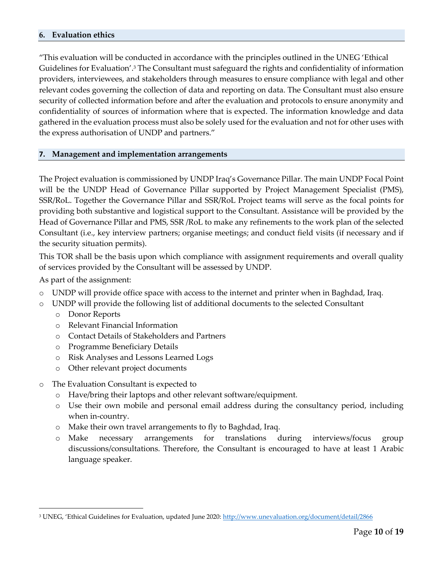#### **6. Evaluation ethics**

"This evaluation will be conducted in accordance with the principles outlined in the UNEG 'Ethical Guidelines for Evaluation'.<sup>3</sup> The Consultant must safeguard the rights and confidentiality of information providers, interviewees, and stakeholders through measures to ensure compliance with legal and other relevant codes governing the collection of data and reporting on data. The Consultant must also ensure security of collected information before and after the evaluation and protocols to ensure anonymity and confidentiality of sources of information where that is expected. The information knowledge and data gathered in the evaluation process must also be solely used for the evaluation and not for other uses with the express authorisation of UNDP and partners."

#### **7. Management and implementation arrangements**

The Project evaluation is commissioned by UNDP Iraq's Governance Pillar. The main UNDP Focal Point will be the UNDP Head of Governance Pillar supported by Project Management Specialist (PMS), SSR/RoL. Together the Governance Pillar and SSR/RoL Project teams will serve as the focal points for providing both substantive and logistical support to the Consultant. Assistance will be provided by the Head of Governance Pillar and PMS, SSR /RoL to make any refinements to the work plan of the selected Consultant (i.e., key interview partners; organise meetings; and conduct field visits (if necessary and if the security situation permits).

This TOR shall be the basis upon which compliance with assignment requirements and overall quality of services provided by the Consultant will be assessed by UNDP.

As part of the assignment:

- o UNDP will provide office space with access to the internet and printer when in Baghdad, Iraq.
- o UNDP will provide the following list of additional documents to the selected Consultant
	- o Donor Reports
	- o Relevant Financial Information
	- o Contact Details of Stakeholders and Partners
	- o Programme Beneficiary Details
	- o Risk Analyses and Lessons Learned Logs
	- o Other relevant project documents
- o The Evaluation Consultant is expected to
	- o Have/bring their laptops and other relevant software/equipment.
	- o Use their own mobile and personal email address during the consultancy period, including when in-country.
	- o Make their own travel arrangements to fly to Baghdad, Iraq.
	- o Make necessary arrangements for translations during interviews/focus group discussions/consultations. Therefore, the Consultant is encouraged to have at least 1 Arabic language speaker.

<sup>&</sup>lt;sup>3</sup> UNEG, 'Ethical Guidelines for Evaluation, updated June 2020: <http://www.unevaluation.org/document/detail/2866>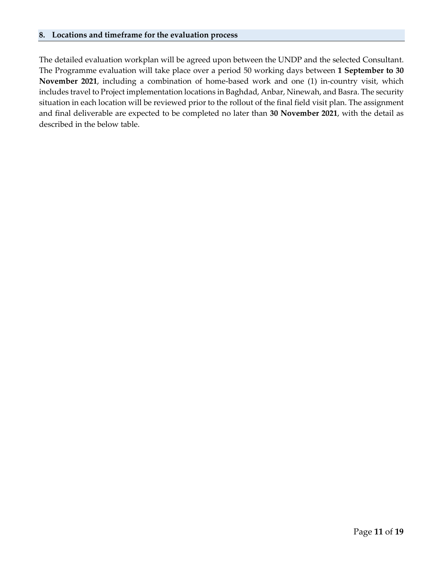The detailed evaluation workplan will be agreed upon between the UNDP and the selected Consultant. The Programme evaluation will take place over a period 50 working days between **1 September to 30 November 2021**, including a combination of home-based work and one (1) in-country visit, which includes travel to Project implementation locations in Baghdad, Anbar, Ninewah, and Basra. The security situation in each location will be reviewed prior to the rollout of the final field visit plan. The assignment and final deliverable are expected to be completed no later than **30 November 2021**, with the detail as described in the below table.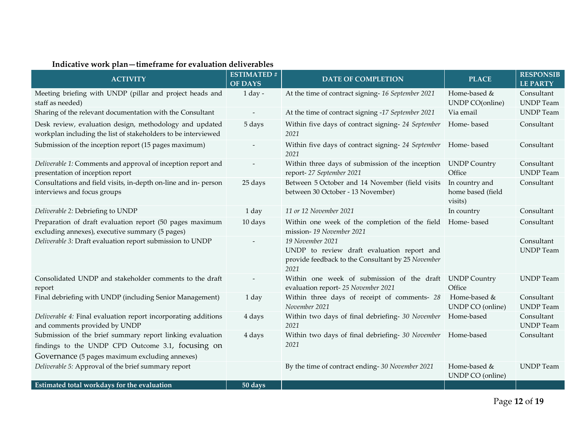| <b>ACTIVITY</b>                                                                                                                                                  | <b>ESTIMATED#</b><br><b>OF DAYS</b> | <b>DATE OF COMPLETION</b>                                                                                                   | <b>PLACE</b>                                   | <b>RESPONSIB</b><br><b>LE PARTY</b> |
|------------------------------------------------------------------------------------------------------------------------------------------------------------------|-------------------------------------|-----------------------------------------------------------------------------------------------------------------------------|------------------------------------------------|-------------------------------------|
| Meeting briefing with UNDP (pillar and project heads and<br>staff as needed)                                                                                     | $1$ day -                           | At the time of contract signing-16 September 2021                                                                           | Home-based &<br><b>UNDP CO(online)</b>         | Consultant<br><b>UNDP</b> Team      |
| Sharing of the relevant documentation with the Consultant                                                                                                        | $\overline{\phantom{a}}$            | At the time of contract signing -17 September 2021                                                                          | Via email                                      | <b>UNDP</b> Team                    |
| Desk review, evaluation design, methodology and updated<br>workplan including the list of stakeholders to be interviewed                                         | 5 days                              | Within five days of contract signing- 24 September<br>2021                                                                  | Home-based                                     | Consultant                          |
| Submission of the inception report (15 pages maximum)                                                                                                            |                                     | Within five days of contract signing- 24 September<br>2021                                                                  | Home-based                                     | Consultant                          |
| Deliverable 1: Comments and approval of inception report and<br>presentation of inception report                                                                 |                                     | Within three days of submission of the inception<br>report-27 September 2021                                                | <b>UNDP Country</b><br>Office                  | Consultant<br><b>UNDP</b> Team      |
| Consultations and field visits, in-depth on-line and in- person<br>interviews and focus groups                                                                   | 25 days                             | Between 5 October and 14 November (field visits<br>between 30 October - 13 November)                                        | In country and<br>home based (field<br>visits) | Consultant                          |
| Deliverable 2: Debriefing to UNDP                                                                                                                                | 1 day                               | 11 or 12 November 2021                                                                                                      | In country                                     | Consultant                          |
| Preparation of draft evaluation report (50 pages maximum<br>excluding annexes), executive summary (5 pages)                                                      | 10 days                             | Within one week of the completion of the field<br>mission-19 November 2021                                                  | Home-based                                     | Consultant                          |
| Deliverable 3: Draft evaluation report submission to UNDP                                                                                                        |                                     | 19 November 2021<br>UNDP to review draft evaluation report and<br>provide feedback to the Consultant by 25 November<br>2021 |                                                | Consultant<br><b>UNDP</b> Team      |
| Consolidated UNDP and stakeholder comments to the draft<br>report                                                                                                |                                     | Within one week of submission of the draft<br>evaluation report-25 November 2021                                            | <b>UNDP Country</b><br>Office                  | <b>UNDP</b> Team                    |
| Final debriefing with UNDP (including Senior Management)                                                                                                         | 1 day                               | Within three days of receipt of comments- 28<br>November 2021                                                               | Home-based &<br>UNDP CO (online)               | Consultant<br><b>UNDP</b> Team      |
| Deliverable 4: Final evaluation report incorporating additions<br>and comments provided by UNDP                                                                  | 4 days                              | Within two days of final debriefing- 30 November<br>2021                                                                    | Home-based                                     | Consultant<br><b>UNDP</b> Team      |
| Submission of the brief summary report linking evaluation<br>findings to the UNDP CPD Outcome 3.1, focusing on<br>Governance (5 pages maximum excluding annexes) | 4 days                              | Within two days of final debriefing- 30 November<br>2021                                                                    | Home-based                                     | Consultant                          |
| Deliverable 5: Approval of the brief summary report                                                                                                              |                                     | By the time of contract ending-30 November 2021                                                                             | Home-based &<br>UNDP CO (online)               | <b>UNDP</b> Team                    |
| Estimated total workdays for the evaluation                                                                                                                      | 50 days                             |                                                                                                                             |                                                |                                     |

## **Indicative work plan—timeframe for evaluation deliverables**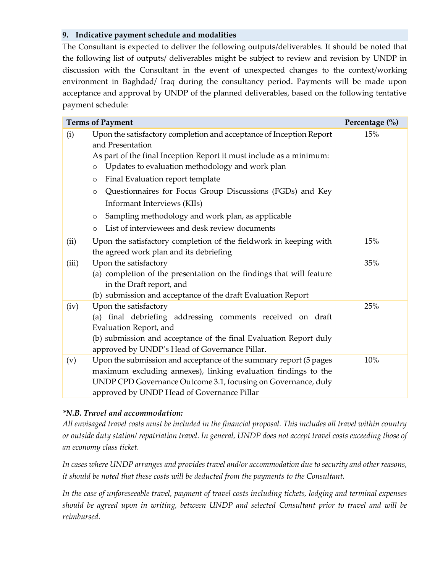#### **9. Indicative payment schedule and modalities**

The Consultant is expected to deliver the following outputs/deliverables. It should be noted that the following list of outputs/ deliverables might be subject to review and revision by UNDP in discussion with the Consultant in the event of unexpected changes to the context/working environment in Baghdad/ Iraq during the consultancy period. Payments will be made upon acceptance and approval by UNDP of the planned deliverables, based on the following tentative payment schedule:

| <b>Terms of Payment</b> | Percentage (%)                                                                                                                                                                                                                                                                                                                                                                                                                                                                                                  |     |
|-------------------------|-----------------------------------------------------------------------------------------------------------------------------------------------------------------------------------------------------------------------------------------------------------------------------------------------------------------------------------------------------------------------------------------------------------------------------------------------------------------------------------------------------------------|-----|
| (i)                     | Upon the satisfactory completion and acceptance of Inception Report<br>and Presentation<br>As part of the final Inception Report it must include as a minimum:<br>Updates to evaluation methodology and work plan<br>$\circ$<br>Final Evaluation report template<br>$\circ$<br>Questionnaires for Focus Group Discussions (FGDs) and Key<br>$\circ$<br>Informant Interviews (KIIs)<br>Sampling methodology and work plan, as applicable<br>$\circ$<br>List of interviewees and desk review documents<br>$\circ$ | 15% |
| (ii)                    | Upon the satisfactory completion of the fieldwork in keeping with<br>the agreed work plan and its debriefing                                                                                                                                                                                                                                                                                                                                                                                                    | 15% |
| (iii)                   | Upon the satisfactory<br>(a) completion of the presentation on the findings that will feature<br>in the Draft report, and<br>(b) submission and acceptance of the draft Evaluation Report                                                                                                                                                                                                                                                                                                                       | 35% |
| (iv)                    | Upon the satisfactory<br>(a) final debriefing addressing comments received on draft<br>Evaluation Report, and<br>(b) submission and acceptance of the final Evaluation Report duly<br>approved by UNDP's Head of Governance Pillar.                                                                                                                                                                                                                                                                             | 25% |
| (v)                     | Upon the submission and acceptance of the summary report (5 pages<br>maximum excluding annexes), linking evaluation findings to the<br>UNDP CPD Governance Outcome 3.1, focusing on Governance, duly<br>approved by UNDP Head of Governance Pillar                                                                                                                                                                                                                                                              | 10% |

## *\*N.B. Travel and accommodation:*

*All envisaged travel costs must be included in the financial proposal. This includes all travel within country or outside duty station/ repatriation travel. In general, UNDP does not accept travel costs exceeding those of an economy class ticket.* 

*In cases where UNDP arranges and provides travel and/or accommodation due to security and other reasons, it should be noted that these costs will be deducted from the payments to the Consultant.* 

*In the case of unforeseeable travel, payment of travel costs including tickets, lodging and terminal expenses should be agreed upon in writing, between UNDP and selected Consultant prior to travel and will be reimbursed.*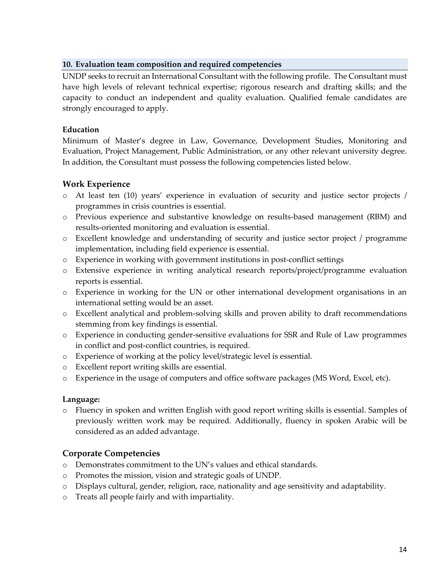#### **10. Evaluation team composition and required competencies**

UNDP seeks to recruit an International Consultant with the following profile. The Consultant must have high levels of relevant technical expertise; rigorous research and drafting skills; and the capacity to conduct an independent and quality evaluation. Qualified female candidates are strongly encouraged to apply.

## **Education**

Minimum of Master's degree in Law, Governance, Development Studies, Monitoring and Evaluation, Project Management, Public Administration, or any other relevant university degree. In addition, the Consultant must possess the following competencies listed below.

## **Work Experience**

- o At least ten (10) years' experience in evaluation of security and justice sector projects / programmes in crisis countries is essential.
- o Previous experience and substantive knowledge on results-based management (RBM) and results-oriented monitoring and evaluation is essential.
- o Excellent knowledge and understanding of security and justice sector project / programme implementation, including field experience is essential.
- o Experience in working with government institutions in post-conflict settings
- o Extensive experience in writing analytical research reports/project/programme evaluation reports is essential.
- o Experience in working for the UN or other international development organisations in an international setting would be an asset.
- o Excellent analytical and problem-solving skills and proven ability to draft recommendations stemming from key findings is essential.
- o Experience in conducting gender-sensitive evaluations for SSR and Rule of Law programmes in conflict and post-conflict countries, is required.
- o Experience of working at the policy level/strategic level is essential.
- o Excellent report writing skills are essential.
- o Experience in the usage of computers and office software packages (MS Word, Excel, etc).

## **Language:**

o Fluency in spoken and written English with good report writing skills is essential. Samples of previously written work may be required. Additionally, fluency in spoken Arabic will be considered as an added advantage.

## **Corporate Competencies**

- o Demonstrates commitment to the UN's values and ethical standards.
- o Promotes the mission, vision and strategic goals of UNDP.
- o Displays cultural, gender, religion, race, nationality and age sensitivity and adaptability.
- o Treats all people fairly and with impartiality.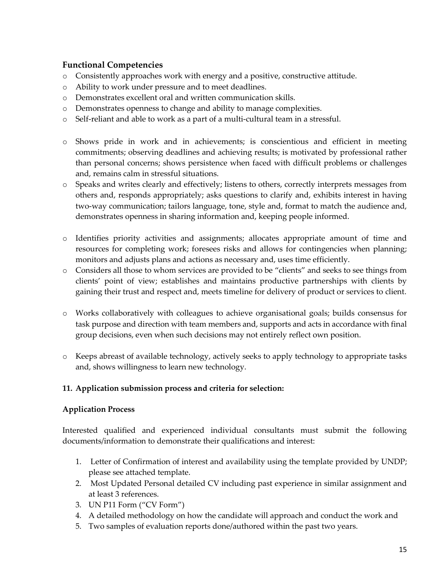## **Functional Competencies**

- o Consistently approaches work with energy and a positive, constructive attitude.
- o Ability to work under pressure and to meet deadlines.
- o Demonstrates excellent oral and written communication skills.
- o Demonstrates openness to change and ability to manage complexities.
- o Self-reliant and able to work as a part of a multi-cultural team in a stressful.
- o Shows pride in work and in achievements; is conscientious and efficient in meeting commitments; observing deadlines and achieving results; is motivated by professional rather than personal concerns; shows persistence when faced with difficult problems or challenges and, remains calm in stressful situations.
- o Speaks and writes clearly and effectively; listens to others, correctly interprets messages from others and, responds appropriately; asks questions to clarify and, exhibits interest in having two-way communication; tailors language, tone, style and, format to match the audience and, demonstrates openness in sharing information and, keeping people informed.
- o Identifies priority activities and assignments; allocates appropriate amount of time and resources for completing work; foresees risks and allows for contingencies when planning; monitors and adjusts plans and actions as necessary and, uses time efficiently.
- o Considers all those to whom services are provided to be "clients" and seeks to see things from clients' point of view; establishes and maintains productive partnerships with clients by gaining their trust and respect and, meets timeline for delivery of product or services to client.
- o Works collaboratively with colleagues to achieve organisational goals; builds consensus for task purpose and direction with team members and, supports and acts in accordance with final group decisions, even when such decisions may not entirely reflect own position.
- o Keeps abreast of available technology, actively seeks to apply technology to appropriate tasks and, shows willingness to learn new technology.

## **11. Application submission process and criteria for selection:**

## **Application Process**

Interested qualified and experienced individual consultants must submit the following documents/information to demonstrate their qualifications and interest:

- 1. Letter of Confirmation of interest and availability using the template provided by UNDP; please see attached template.
- 2. Most Updated Personal detailed CV including past experience in similar assignment and at least 3 references.
- 3. UN P11 Form ("CV Form")
- 4. A detailed methodology on how the candidate will approach and conduct the work and
- 5. Two samples of evaluation reports done/authored within the past two years.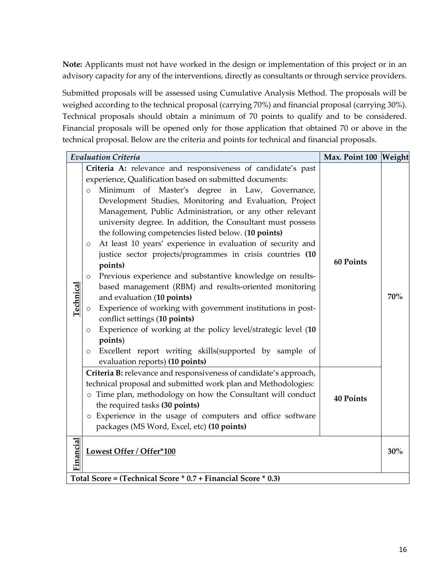**Note:** Applicants must not have worked in the design or implementation of this project or in an advisory capacity for any of the interventions, directly as consultants or through service providers.

Submitted proposals will be assessed using Cumulative Analysis Method. The proposals will be weighed according to the technical proposal (carrying 70%) and financial proposal (carrying 30%). Technical proposals should obtain a minimum of 70 points to qualify and to be considered. Financial proposals will be opened only for those application that obtained 70 or above in the technical proposal. Below are the criteria and points for technical and financial proposals.

|                                                               |                          | <b>Evaluation Criteria</b>                                        | Max. Point 100 Weight |     |  |
|---------------------------------------------------------------|--------------------------|-------------------------------------------------------------------|-----------------------|-----|--|
|                                                               |                          | Criteria A: relevance and responsiveness of candidate's past      |                       |     |  |
|                                                               |                          | experience, Qualification based on submitted documents:           |                       |     |  |
|                                                               | $\circ$                  | Minimum of Master's degree in Law, Governance,                    |                       |     |  |
|                                                               |                          | Development Studies, Monitoring and Evaluation, Project           |                       |     |  |
|                                                               |                          | Management, Public Administration, or any other relevant          |                       |     |  |
|                                                               |                          | university degree. In addition, the Consultant must possess       |                       |     |  |
|                                                               |                          | the following competencies listed below. (10 points)              |                       |     |  |
|                                                               | $\circ$                  | At least 10 years' experience in evaluation of security and       |                       |     |  |
|                                                               |                          | justice sector projects/programmes in crisis countries (10        | <b>60 Points</b>      |     |  |
|                                                               |                          | points)                                                           |                       |     |  |
|                                                               | $\circ$                  | Previous experience and substantive knowledge on results-         |                       |     |  |
|                                                               |                          | based management (RBM) and results-oriented monitoring            |                       | 70% |  |
|                                                               |                          | and evaluation (10 points)                                        |                       |     |  |
| <u>Technical</u>                                              |                          | Experience of working with government institutions in post-       |                       |     |  |
|                                                               |                          | conflict settings (10 points)                                     |                       |     |  |
|                                                               | $\circ$                  | Experience of working at the policy level/strategic level (10     |                       |     |  |
|                                                               |                          | points)                                                           |                       |     |  |
|                                                               | $\circ$                  | Excellent report writing skills(supported by sample of            |                       |     |  |
|                                                               |                          | evaluation reports) (10 points)                                   |                       |     |  |
|                                                               |                          | Criteria B: relevance and responsiveness of candidate's approach, |                       |     |  |
|                                                               |                          | technical proposal and submitted work plan and Methodologies:     |                       |     |  |
|                                                               |                          | o Time plan, methodology on how the Consultant will conduct       | <b>40 Points</b>      |     |  |
|                                                               |                          | the required tasks (30 points)                                    |                       |     |  |
|                                                               |                          | o Experience in the usage of computers and office software        |                       |     |  |
|                                                               |                          | packages (MS Word, Excel, etc) (10 points)                        |                       |     |  |
| Financial                                                     |                          |                                                                   |                       | 30% |  |
|                                                               | Lowest Offer / Offer*100 |                                                                   |                       |     |  |
|                                                               |                          |                                                                   |                       |     |  |
| Total Score = (Technical Score * 0.7 + Financial Score * 0.3) |                          |                                                                   |                       |     |  |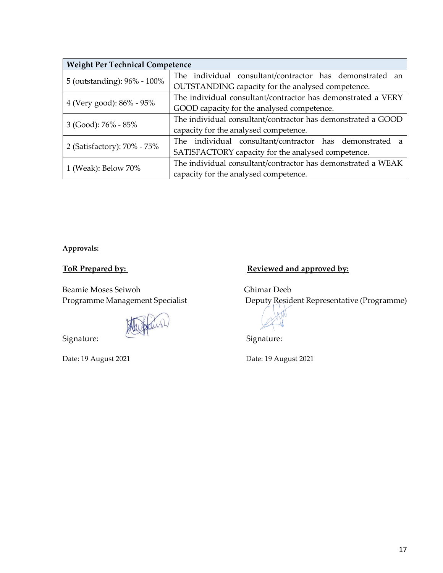| <b>Weight Per Technical Competence</b> |                                                              |  |  |  |  |
|----------------------------------------|--------------------------------------------------------------|--|--|--|--|
|                                        | The individual consultant/contractor has demonstrated an     |  |  |  |  |
| 5 (outstanding): 96% - 100%            | OUTSTANDING capacity for the analysed competence.            |  |  |  |  |
|                                        | The individual consultant/contractor has demonstrated a VERY |  |  |  |  |
| 4 (Very good): 86% - 95%               | GOOD capacity for the analysed competence.                   |  |  |  |  |
|                                        | The individual consultant/contractor has demonstrated a GOOD |  |  |  |  |
| $3$ (Good): $76\%$ - $85\%$            | capacity for the analysed competence.                        |  |  |  |  |
| 2 (Satisfactory): 70% - 75%            | The individual consultant/contractor has demonstrated<br>a   |  |  |  |  |
|                                        | SATISFACTORY capacity for the analysed competence.           |  |  |  |  |
|                                        | The individual consultant/contractor has demonstrated a WEAK |  |  |  |  |
| 1 (Weak): Below 70%                    | capacity for the analysed competence.                        |  |  |  |  |

**Approvals:**

Beamie Moses Seiwoh<br>
Programme Management Specialist<br>
Deputy Resid

Signature: Signature: Signature:

# ToR Prepared by: **Reviewed and approved by:**

**Deputy Resident Representative (Programme)** 

Date: 19 August 2021 **Date: 19 August 2021**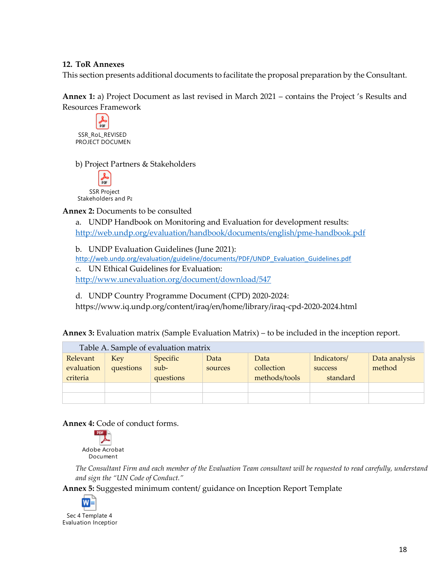#### **12. ToR Annexes**

This section presents additional documents to facilitate the proposal preparation by the Consultant.

**Annex 1:** a) Project Document as last revised in March 2021 – contains the Project 's Results and Resources Framework

 $p_{\text{RF}}$ SSR\_RoL\_REVISED PROJECT DOCUMEN

b) Project Partners & Stakeholders



**Annex 2:** Documents to be consulted

a. UNDP Handbook on Monitoring and Evaluation for development results: <http://web.undp.org/evaluation/handbook/documents/english/pme-handbook.pdf>

b. UNDP Evaluation Guidelines (June 2021):

[http://web.undp.org/evaluation/guideline/documents/PDF/UNDP\\_Evaluation\\_Guidelines.pdf](http://web.undp.org/evaluation/guideline/documents/PDF/UNDP_Evaluation_Guidelines.pdf)

c. UN Ethical Guidelines for Evaluation:

<http://www.unevaluation.org/document/download/547>

d. UNDP Country Programme Document (CPD) 2020-2024: https://www.iq.undp.org/content/iraq/en/home/library/iraq-cpd-2020-2024.html

**Annex 3:** Evaluation matrix (Sample Evaluation Matrix) – to be included in the inception report.

| Table A. Sample of evaluation matrix |            |           |         |               |             |               |  |
|--------------------------------------|------------|-----------|---------|---------------|-------------|---------------|--|
| Relevant                             | <b>Key</b> | Specific  | Data    | Data          | Indicators/ | Data analysis |  |
| evaluation                           | questions  | $sub-$    | sources | collection    | success     | method        |  |
| criteria                             |            | questions |         | methods/tools | standard    |               |  |
|                                      |            |           |         |               |             |               |  |
|                                      |            |           |         |               |             |               |  |

**Annex 4:** Code of conduct forms.



*The Consultant Firm and each member of the Evaluation Team consultant will be requested to read carefully, understand and sign the "UN Code of Conduct."*

**Annex 5:** Suggested minimum content/ guidance on Inception Report Template



Evaluation Inceptior